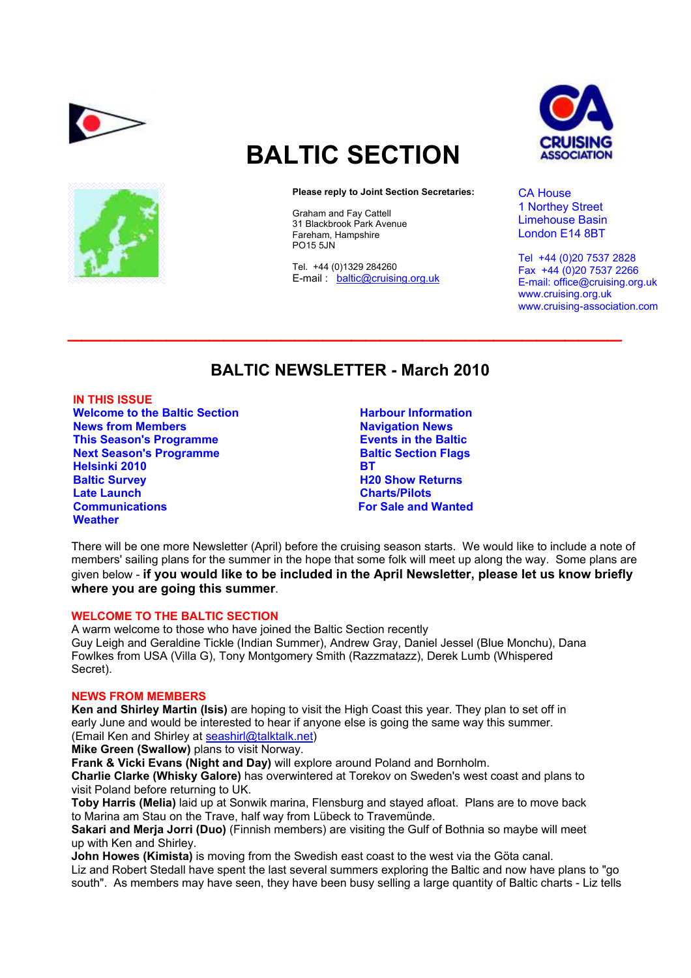



# **BALTIC SECTION**

#### **Please reply to Joint Section Secretaries:**

Graham and Fay Cattell 31 Blackbrook Park Avenue Fareham, Hampshire PO15 5JN

Tel. +44 (0)1329 284260 E-mail : baltic@cruising.org.uk



CA House 1 Northey Street Limehouse Basin London E14 8BT

Tel +44 (0)20 7537 2828 Fax +44 (0)20 7537 2266 E-mail: office@cruising.org.uk www.cruising.org.uk www.cruising-association.com

# **BALTIC NEWSLETTER - March 2010**

 $\mathcal{L}_\text{max}$  and  $\mathcal{L}_\text{max}$  and  $\mathcal{L}_\text{max}$  and  $\mathcal{L}_\text{max}$  and  $\mathcal{L}_\text{max}$  and  $\mathcal{L}_\text{max}$ 

**IN THIS ISSUE Welcome to the Baltic Section News from Members This Season's Programme Next Season's Programme Helsinki 2010 Baltic Survey Late Launch Communications Weather** 

**Harbour Information Navigation News Events in the Baltic Baltic Section Flags BT H20 Show Returns Charts/Pilots For Sale and Wanted** 

There will be one more Newsletter (April) before the cruising season starts. We would like to include a note of members' sailing plans for the summer in the hope that some folk will meet up along the way. Some plans are given below - **if you would like to be included in the April Newsletter, please let us know briefly where you are going this summer**.

# **WELCOME TO THE BALTIC SECTION**

A warm welcome to those who have joined the Baltic Section recently Guy Leigh and Geraldine Tickle (Indian Summer), Andrew Gray, Daniel Jessel (Blue Monchu), Dana Fowlkes from USA (Villa G), Tony Montgomery Smith (Razzmatazz), Derek Lumb (Whispered Secret).

# **NEWS FROM MEMBERS**

**Ken and Shirley Martin (Isis)** are hoping to visit the High Coast this year. They plan to set off in early June and would be interested to hear if anyone else is going the same way this summer. (Email Ken and Shirley at seashirl@talktalk.net)

**Mike Green (Swallow)** plans to visit Norway.

**Frank & Vicki Evans (Night and Day)** will explore around Poland and Bornholm.

**Charlie Clarke (Whisky Galore)** has overwintered at Torekov on Sweden's west coast and plans to visit Poland before returning to UK.

**Toby Harris (Melia)** laid up at Sonwik marina, Flensburg and stayed afloat. Plans are to move back to Marina am Stau on the Trave, half way from Lübeck to Travemünde.

**Sakari and Merja Jorri (Duo)** (Finnish members) are visiting the Gulf of Bothnia so maybe will meet up with Ken and Shirley.

**John Howes (Kimista)** is moving from the Swedish east coast to the west via the Göta canal. Liz and Robert Stedall have spent the last several summers exploring the Baltic and now have plans to "go south". As members may have seen, they have been busy selling a large quantity of Baltic charts - Liz tells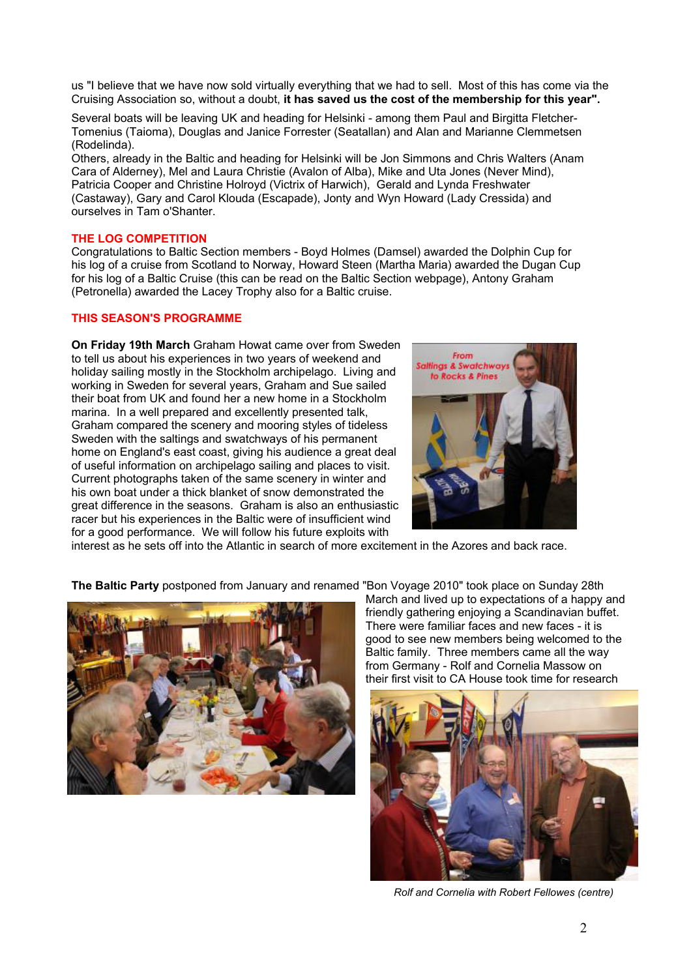us "I believe that we have now sold virtually everything that we had to sell. Most of this has come via the Cruising Association so, without a doubt, **it has saved us the cost of the membership for this year".** 

Several boats will be leaving UK and heading for Helsinki - among them Paul and Birgitta Fletcher-Tomenius (Taioma), Douglas and Janice Forrester (Seatallan) and Alan and Marianne Clemmetsen (Rodelinda).

Others, already in the Baltic and heading for Helsinki will be Jon Simmons and Chris Walters (Anam Cara of Alderney), Mel and Laura Christie (Avalon of Alba), Mike and Uta Jones (Never Mind), Patricia Cooper and Christine Holroyd (Victrix of Harwich), Gerald and Lynda Freshwater (Castaway), Gary and Carol Klouda (Escapade), Jonty and Wyn Howard (Lady Cressida) and ourselves in Tam o'Shanter.

#### **THE LOG COMPETITION**

Congratulations to Baltic Section members - Boyd Holmes (Damsel) awarded the Dolphin Cup for his log of a cruise from Scotland to Norway, Howard Steen (Martha Maria) awarded the Dugan Cup for his log of a Baltic Cruise (this can be read on the Baltic Section webpage), Antony Graham (Petronella) awarded the Lacey Trophy also for a Baltic cruise.

# **THIS SEASON'S PROGRAMME**

**On Friday 19th March** Graham Howat came over from Sweden to tell us about his experiences in two years of weekend and holiday sailing mostly in the Stockholm archipelago. Living and working in Sweden for several years, Graham and Sue sailed their boat from UK and found her a new home in a Stockholm marina. In a well prepared and excellently presented talk, Graham compared the scenery and mooring styles of tideless Sweden with the saltings and swatchways of his permanent home on England's east coast, giving his audience a great deal of useful information on archipelago sailing and places to visit. Current photographs taken of the same scenery in winter and his own boat under a thick blanket of snow demonstrated the great difference in the seasons. Graham is also an enthusiastic racer but his experiences in the Baltic were of insufficient wind for a good performance. We will follow his future exploits with



interest as he sets off into the Atlantic in search of more excitement in the Azores and back race.

**The Baltic Party** postponed from January and renamed "Bon Voyage 2010" took place on Sunday 28th



March and lived up to expectations of a happy and friendly gathering enjoying a Scandinavian buffet. There were familiar faces and new faces - it is good to see new members being welcomed to the Baltic family. Three members came all the way from Germany - Rolf and Cornelia Massow on their first visit to CA House took time for research



*Rolf and Cornelia with Robert Fellowes (centre)*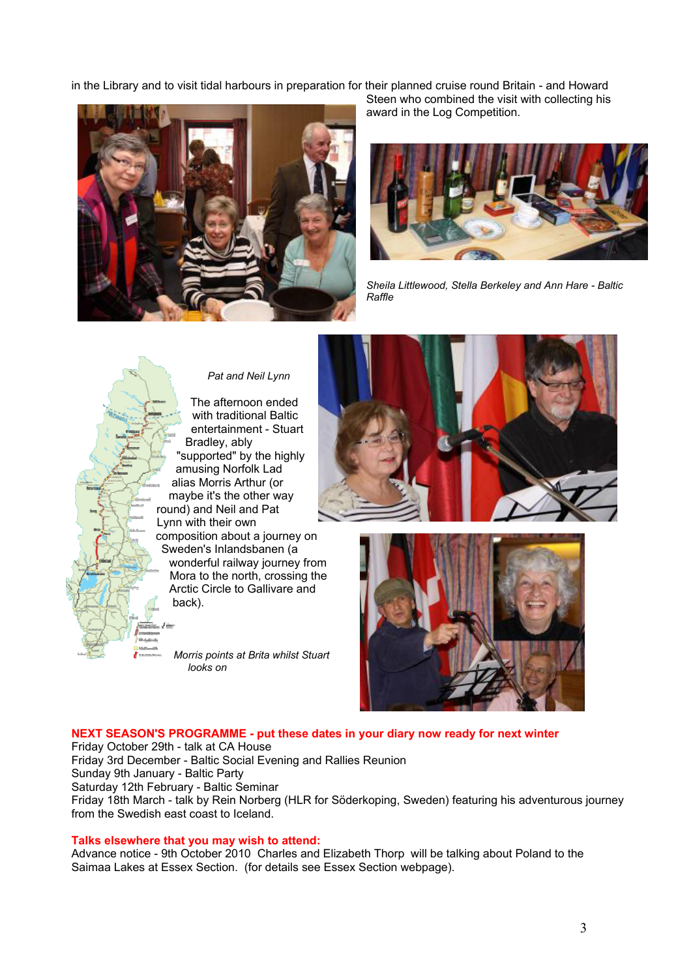in the Library and to visit tidal harbours in preparation for their planned cruise round Britain - and Howard



Steen who combined the visit with collecting his award in the Log Competition.



*Sheila Littlewood, Stella Berkeley and Ann Hare - Baltic Raffle* 



# *Pat and Neil Lynn*

The afternoon ended with traditional Baltic entertainment - Stuart Bradley, ably "supported" by the highly amusing Norfolk Lad alias Morris Arthur (or maybe it's the other way round) and Neil and Pat Lynn with their own composition about a journey on Sweden's Inlandsbanen (a wonderful railway journey from Mora to the north, crossing the Arctic Circle to Gallivare and

*Morris points at Brita whilst Stuart looks on* 





# **NEXT SEASON'S PROGRAMME - put these dates in your diary now ready for next winter**

Friday October 29th - talk at CA House Friday 3rd December - Baltic Social Evening and Rallies Reunion Sunday 9th January - Baltic Party Saturday 12th February - Baltic Seminar Friday 18th March - talk by Rein Norberg (HLR for Söderkoping, Sweden) featuring his adventurous journey from the Swedish east coast to Iceland.

#### **Talks elsewhere that you may wish to attend:**

Advance notice - 9th October 2010 Charles and Elizabeth Thorp will be talking about Poland to the Saimaa Lakes at Essex Section. (for details see Essex Section webpage).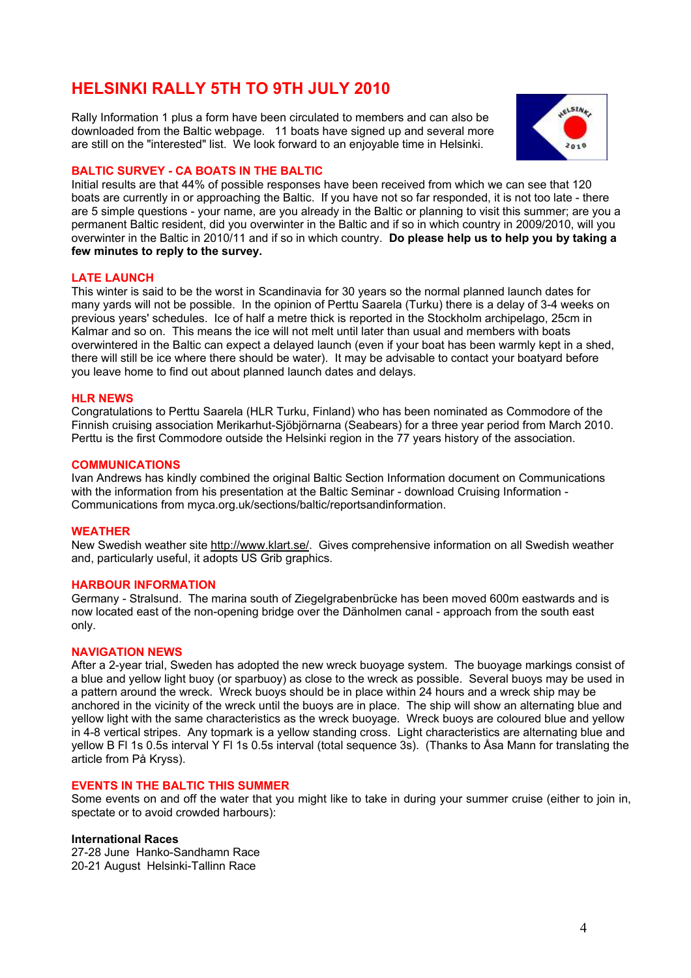# **HELSINKI RALLY 5TH TO 9TH JULY 2010**

Rally Information 1 plus a form have been circulated to members and can also be downloaded from the Baltic webpage. 11 boats have signed up and several more are still on the "interested" list. We look forward to an enjoyable time in Helsinki.



### **BALTIC SURVEY - CA BOATS IN THE BALTIC**

Initial results are that 44% of possible responses have been received from which we can see that 120 boats are currently in or approaching the Baltic. If you have not so far responded, it is not too late - there are 5 simple questions - your name, are you already in the Baltic or planning to visit this summer; are you a permanent Baltic resident, did you overwinter in the Baltic and if so in which country in 2009/2010, will you overwinter in the Baltic in 2010/11 and if so in which country. **Do please help us to help you by taking a few minutes to reply to the survey.** 

#### **LATE LAUNCH**

This winter is said to be the worst in Scandinavia for 30 years so the normal planned launch dates for many yards will not be possible. In the opinion of Perttu Saarela (Turku) there is a delay of 3-4 weeks on previous years' schedules. Ice of half a metre thick is reported in the Stockholm archipelago, 25cm in Kalmar and so on. This means the ice will not melt until later than usual and members with boats overwintered in the Baltic can expect a delayed launch (even if your boat has been warmly kept in a shed, there will still be ice where there should be water). It may be advisable to contact your boatyard before you leave home to find out about planned launch dates and delays.

#### **HLR NEWS**

Congratulations to Perttu Saarela (HLR Turku, Finland) who has been nominated as Commodore of the Finnish cruising association Merikarhut-Sjöbjörnarna (Seabears) for a three year period from March 2010. Perttu is the first Commodore outside the Helsinki region in the 77 years history of the association.

#### **COMMUNICATIONS**

Ivan Andrews has kindly combined the original Baltic Section Information document on Communications with the information from his presentation at the Baltic Seminar - download Cruising Information - Communications from myca.org.uk/sections/baltic/reportsandinformation.

#### **WEATHER**

New Swedish weather site http://www.klart.se/. Gives comprehensive information on all Swedish weather and, particularly useful, it adopts US Grib graphics.

### **HARBOUR INFORMATION**

Germany - Stralsund. The marina south of Ziegelgrabenbrücke has been moved 600m eastwards and is now located east of the non-opening bridge over the Dänholmen canal - approach from the south east only.

#### **NAVIGATION NEWS**

After a 2-year trial, Sweden has adopted the new wreck buoyage system. The buoyage markings consist of a blue and yellow light buoy (or sparbuoy) as close to the wreck as possible. Several buoys may be used in a pattern around the wreck. Wreck buoys should be in place within 24 hours and a wreck ship may be anchored in the vicinity of the wreck until the buoys are in place. The ship will show an alternating blue and yellow light with the same characteristics as the wreck buoyage. Wreck buoys are coloured blue and yellow in 4-8 vertical stripes. Any topmark is a yellow standing cross. Light characteristics are alternating blue and yellow B Fl 1s 0.5s interval Y Fl 1s 0.5s interval (total sequence 3s). (Thanks to Åsa Mann for translating the article from På Kryss).

#### **EVENTS IN THE BALTIC THIS SUMMER**

Some events on and off the water that you might like to take in during your summer cruise (either to join in, spectate or to avoid crowded harbours):

#### **International Races**

27-28 June Hanko-Sandhamn Race 20-21 August Helsinki-Tallinn Race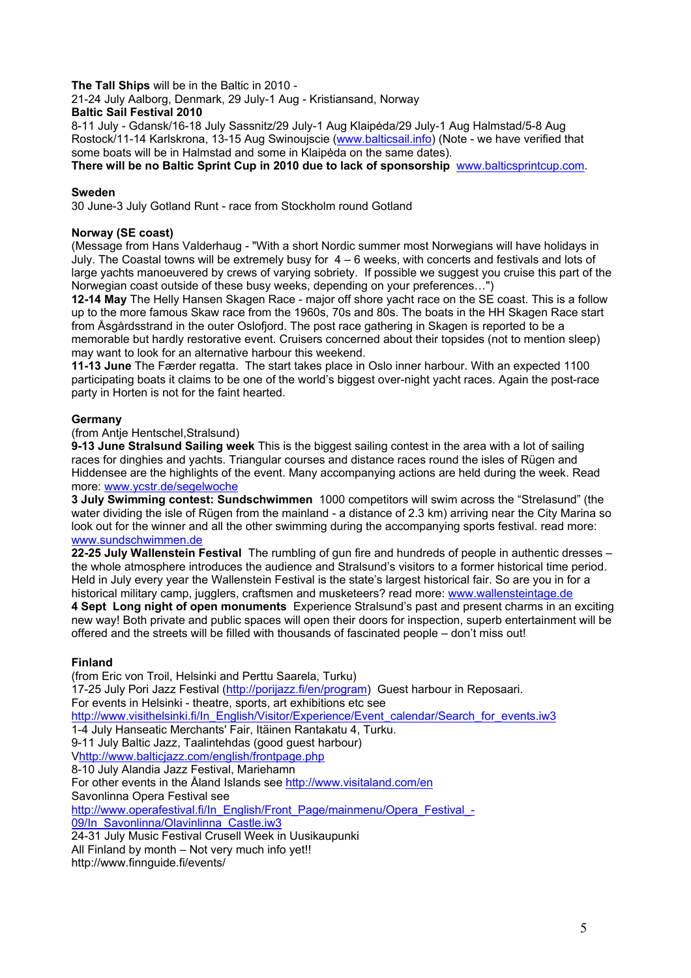# **The Tall Ships** will be in the Baltic in 2010 -

21-24 July Aalborg, Denmark, 29 July-1 Aug - Kristiansand, Norway

# **Baltic Sail Festival 2010**

8-11 July - Gdansk/16-18 July Sassnitz/29 July-1 Aug Klaipėda/29 July-1 Aug Halmstad/5-8 Aug Rostock/11-14 Karlskrona, 13-15 Aug Swinoujscie (www.balticsail.info) (Note - we have verified that some boats will be in Halmstad and some in Klaipėda on the same dates).

**There will be no Baltic Sprint Cup in 2010 due to lack of sponsorship** www.balticsprintcup.com.

## **Sweden**

30 June-3 July Gotland Runt - race from Stockholm round Gotland

## **Norway (SE coast)**

(Message from Hans Valderhaug - "With a short Nordic summer most Norwegians will have holidays in July. The Coastal towns will be extremely busy for 4 – 6 weeks, with concerts and festivals and lots of large yachts manoeuvered by crews of varying sobriety. If possible we suggest you cruise this part of the Norwegian coast outside of these busy weeks, depending on your preferences…")

**12-14 May** The Helly Hansen Skagen Race - major off shore yacht race on the SE coast. This is a follow up to the more famous Skaw race from the 1960s, 70s and 80s. The boats in the HH Skagen Race start from Åsgårdsstrand in the outer Oslofjord. The post race gathering in Skagen is reported to be a memorable but hardly restorative event. Cruisers concerned about their topsides (not to mention sleep) may want to look for an alternative harbour this weekend.

**11-13 June** The Færder regatta. The start takes place in Oslo inner harbour. With an expected 1100 participating boats it claims to be one of the world's biggest over-night yacht races. Again the post-race party in Horten is not for the faint hearted.

### **Germany**

(from Antje Hentschel,Stralsund)

**9-13 June Stralsund Sailing week** This is the biggest sailing contest in the area with a lot of sailing races for dinghies and yachts. Triangular courses and distance races round the isles of Rügen and Hiddensee are the highlights of the event. Many accompanying actions are held during the week. Read more: www.ycstr.de/segelwoche

**3 July Swimming contest: Sundschwimmen** 1000 competitors will swim across the "Strelasund" (the water dividing the isle of Rügen from the mainland - a distance of 2.3 km) arriving near the City Marina so look out for the winner and all the other swimming during the accompanying sports festival. read more: www.sundschwimmen.de

**22-25 July Wallenstein Festival** The rumbling of gun fire and hundreds of people in authentic dresses – the whole atmosphere introduces the audience and Stralsund's visitors to a former historical time period. Held in July every year the Wallenstein Festival is the state's largest historical fair. So are you in for a historical military camp, jugglers, craftsmen and musketeers? read more: www.wallensteintage.de

**4 Sept Long night of open monuments** Experience Stralsund's past and present charms in an exciting new way! Both private and public spaces will open their doors for inspection, superb entertainment will be offered and the streets will be filled with thousands of fascinated people – don't miss out!

# **Finland**

(from Eric von Troil, Helsinki and Perttu Saarela, Turku) 17-25 July Pori Jazz Festival (http://porijazz.fi/en/program) Guest harbour in Reposaari. For events in Helsinki - theatre, sports, art exhibitions etc see http://www.visithelsinki.fi/In\_English/Visitor/Experience/Event\_calendar/Search\_for\_events.iw3 1-4 July Hanseatic Merchants' Fair, Itäinen Rantakatu 4, Turku. 9-11 July Baltic Jazz, Taalintehdas (good guest harbour) Vhttp://www.balticjazz.com/english/frontpage.php 8-10 July Alandia Jazz Festival, Mariehamn For other events in the Åland Islands see http://www.visitaland.com/en Savonlinna Opera Festival see http://www.operafestival.fi/In\_English/Front\_Page/mainmenu/Opera\_Festival\_-09/In Savonlinna/Olavinlinna Castle.iw3 24-31 July Music Festival Crusell Week in Uusikaupunki All Finland by month – Not very much info yet!!

http://www.finnguide.fi/events/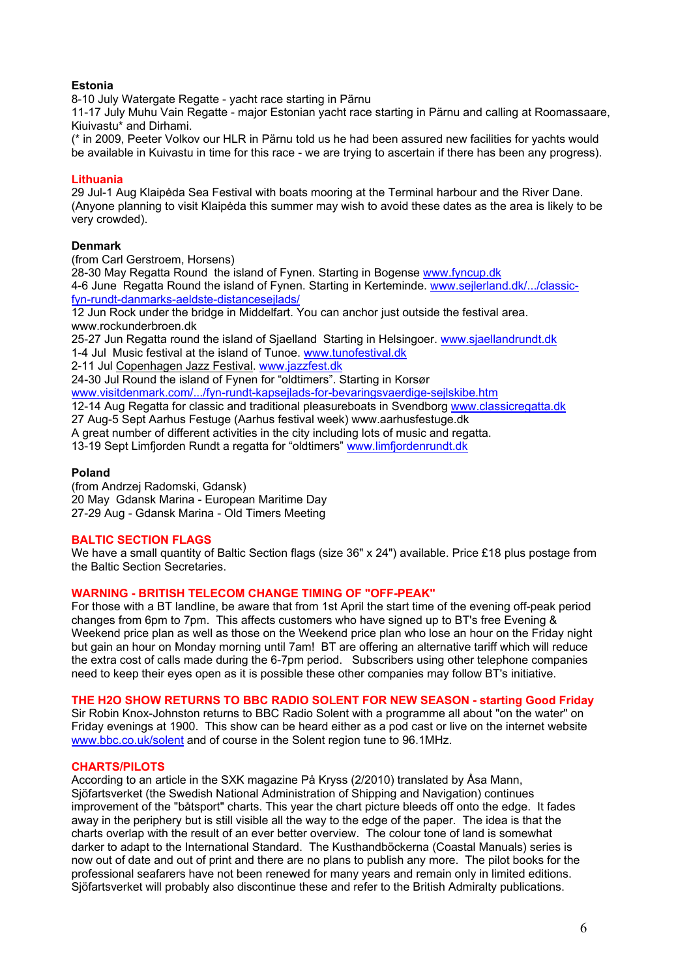# **Estonia**

8-10 July Watergate Regatte - yacht race starting in Pärnu

11-17 July Muhu Vain Regatte - major Estonian yacht race starting in Pärnu and calling at Roomassaare, Kiuivastu\* and Dirhami.

(\* in 2009, Peeter Volkov our HLR in Pärnu told us he had been assured new facilities for yachts would be available in Kuivastu in time for this race - we are trying to ascertain if there has been any progress).

### **Lithuania**

29 Jul-1 Aug Klaipėda Sea Festival with boats mooring at the Terminal harbour and the River Dane. (Anyone planning to visit Klaipėda this summer may wish to avoid these dates as the area is likely to be very crowded).

### **Denmark**

(from Carl Gerstroem, Horsens)

28-30 May Regatta Round the island of Fynen. Starting in Bogense www.fyncup.dk

4-6 June Regatta Round the island of Fynen. Starting in Kerteminde. www.sejlerland.dk/.../classicfyn-rundt-danmarks-aeldste-distancesejlads/

12 Jun Rock under the bridge in Middelfart. You can anchor just outside the festival area. www.rockunderbroen.dk

25-27 Jun Regatta round the island of Sjaelland Starting in Helsingoer. www.sjaellandrundt.dk

1-4 Jul Music festival at the island of Tunoe. www.tunofestival.dk

2-11 Jul Copenhagen Jazz Festival. www.jazzfest.dk

24-30 Jul Round the island of Fynen for "oldtimers". Starting in Korsør

www.visitdenmark.com/.../fyn-rundt-kapsejlads-for-bevaringsvaerdige-sejlskibe.htm

12-14 Aug Regatta for classic and traditional pleasureboats in Svendborg www.classicregatta.dk

27 Aug-5 Sept Aarhus Festuge (Aarhus festival week) www.aarhusfestuge.dk

A great number of different activities in the city including lots of music and regatta.

13-19 Sept Limfjorden Rundt a regatta for "oldtimers" www.limfjordenrundt.dk

#### **Poland**

(from Andrzej Radomski, Gdansk) 20 May Gdansk Marina - European Maritime Day 27-29 Aug - Gdansk Marina - Old Timers Meeting

#### **BALTIC SECTION FLAGS**

We have a small quantity of Baltic Section flags (size 36" x 24") available. Price £18 plus postage from the Baltic Section Secretaries.

#### **WARNING - BRITISH TELECOM CHANGE TIMING OF "OFF-PEAK"**

For those with a BT landline, be aware that from 1st April the start time of the evening off-peak period changes from 6pm to 7pm. This affects customers who have signed up to BT's free Evening & Weekend price plan as well as those on the Weekend price plan who lose an hour on the Friday night but gain an hour on Monday morning until 7am! BT are offering an alternative tariff which will reduce the extra cost of calls made during the 6-7pm period. Subscribers using other telephone companies need to keep their eyes open as it is possible these other companies may follow BT's initiative.

#### **THE H2O SHOW RETURNS TO BBC RADIO SOLENT FOR NEW SEASON - starting Good Friday**

Sir Robin Knox-Johnston returns to BBC Radio Solent with a programme all about "on the water" on Friday evenings at 1900. This show can be heard either as a pod cast or live on the internet website www.bbc.co.uk/solent and of course in the Solent region tune to 96.1MHz.

#### **CHARTS/PILOTS**

According to an article in the SXK magazine På Kryss (2/2010) translated by Åsa Mann, Sjöfartsverket (the Swedish National Administration of Shipping and Navigation) continues improvement of the "båtsport" charts. This year the chart picture bleeds off onto the edge. It fades away in the periphery but is still visible all the way to the edge of the paper. The idea is that the charts overlap with the result of an ever better overview. The colour tone of land is somewhat darker to adapt to the International Standard. The Kusthandböckerna (Coastal Manuals) series is now out of date and out of print and there are no plans to publish any more. The pilot books for the professional seafarers have not been renewed for many years and remain only in limited editions. Sjöfartsverket will probably also discontinue these and refer to the British Admiralty publications.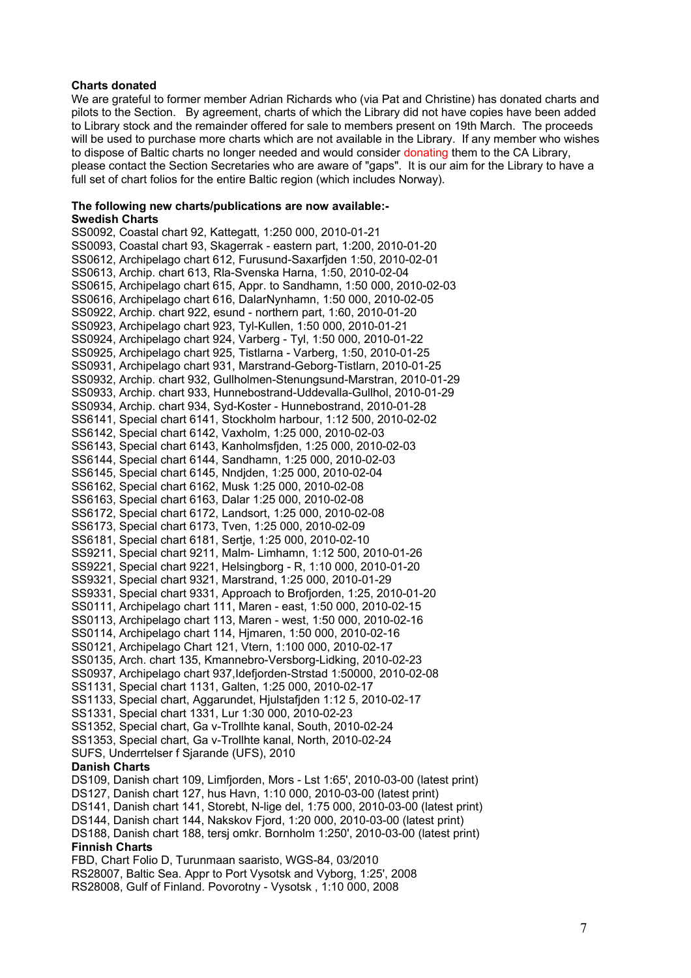#### **Charts donated**

We are grateful to former member Adrian Richards who (via Pat and Christine) has donated charts and pilots to the Section. By agreement, charts of which the Library did not have copies have been added to Library stock and the remainder offered for sale to members present on 19th March. The proceeds will be used to purchase more charts which are not available in the Library. If any member who wishes to dispose of Baltic charts no longer needed and would consider donating them to the CA Library, please contact the Section Secretaries who are aware of "gaps". It is our aim for the Library to have a full set of chart folios for the entire Baltic region (which includes Norway).

#### **The following new charts/publications are now available:- Swedish Charts**

SS0092, Coastal chart 92, Kattegatt, 1:250 000, 2010-01-21 SS0093, Coastal chart 93, Skagerrak - eastern part, 1:200, 2010-01-20 SS0612, Archipelago chart 612, Furusund-Saxarfjden 1:50, 2010-02-01 SS0613, Archip. chart 613, Rla-Svenska Harna, 1:50, 2010-02-04 SS0615, Archipelago chart 615, Appr. to Sandhamn, 1:50 000, 2010-02-03 SS0616, Archipelago chart 616, DalarNynhamn, 1:50 000, 2010-02-05 SS0922, Archip. chart 922, esund - northern part, 1:60, 2010-01-20 SS0923, Archipelago chart 923, Tyl-Kullen, 1:50 000, 2010-01-21 SS0924, Archipelago chart 924, Varberg - Tyl, 1:50 000, 2010-01-22 SS0925, Archipelago chart 925, Tistlarna - Varberg, 1:50, 2010-01-25 SS0931, Archipelago chart 931, Marstrand-Geborg-Tistlarn, 2010-01-25 SS0932, Archip. chart 932, Gullholmen-Stenungsund-Marstran, 2010-01-29 SS0933, Archip. chart 933, Hunnebostrand-Uddevalla-Gullhol, 2010-01-29 SS0934, Archip. chart 934, Syd-Koster - Hunnebostrand, 2010-01-28 SS6141, Special chart 6141, Stockholm harbour, 1:12 500, 2010-02-02 SS6142, Special chart 6142, Vaxholm, 1:25 000, 2010-02-03 SS6143, Special chart 6143, Kanholmsfjden, 1:25 000, 2010-02-03 SS6144, Special chart 6144, Sandhamn, 1:25 000, 2010-02-03 SS6145, Special chart 6145, Nndjden, 1:25 000, 2010-02-04 SS6162, Special chart 6162, Musk 1:25 000, 2010-02-08 SS6163, Special chart 6163, Dalar 1:25 000, 2010-02-08 SS6172, Special chart 6172, Landsort, 1:25 000, 2010-02-08 SS6173, Special chart 6173, Tven, 1:25 000, 2010-02-09 SS6181, Special chart 6181, Sertje, 1:25 000, 2010-02-10 SS9211, Special chart 9211, Malm- Limhamn, 1:12 500, 2010-01-26 SS9221, Special chart 9221, Helsingborg - R, 1:10 000, 2010-01-20 SS9321, Special chart 9321, Marstrand, 1:25 000, 2010-01-29 SS9331, Special chart 9331, Approach to Brofjorden, 1:25, 2010-01-20 SS0111, Archipelago chart 111, Maren - east, 1:50 000, 2010-02-15 SS0113, Archipelago chart 113, Maren - west, 1:50 000, 2010-02-16 SS0114, Archipelago chart 114, Hjmaren, 1:50 000, 2010-02-16 SS0121, Archipelago Chart 121, Vtern, 1:100 000, 2010-02-17 SS0135, Arch. chart 135, Kmannebro-Versborg-Lidking, 2010-02-23 SS0937, Archipelago chart 937,Idefjorden-Strstad 1:50000, 2010-02-08 SS1131, Special chart 1131, Galten, 1:25 000, 2010-02-17 SS1133, Special chart, Aggarundet, Hjulstafjden 1:12 5, 2010-02-17 SS1331, Special chart 1331, Lur 1:30 000, 2010-02-23 SS1352, Special chart, Ga v-Trollhte kanal, South, 2010-02-24 SS1353, Special chart, Ga v-Trollhte kanal, North, 2010-02-24 SUFS, Underrtelser f Sjarande (UFS), 2010 **Danish Charts**  DS109, Danish chart 109, Limfjorden, Mors - Lst 1:65', 2010-03-00 (latest print) DS127, Danish chart 127, hus Havn, 1:10 000, 2010-03-00 (latest print) DS141, Danish chart 141, Storebt, N-lige del, 1:75 000, 2010-03-00 (latest print) DS144, Danish chart 144, Nakskov Fjord, 1:20 000, 2010-03-00 (latest print)

# DS188, Danish chart 188, tersj omkr. Bornholm 1:250', 2010-03-00 (latest print) **Finnish Charts**

FBD, Chart Folio D, Turunmaan saaristo, WGS-84, 03/2010 RS28007, Baltic Sea. Appr to Port Vysotsk and Vyborg, 1:25', 2008 RS28008, Gulf of Finland. Povorotny - Vysotsk , 1:10 000, 2008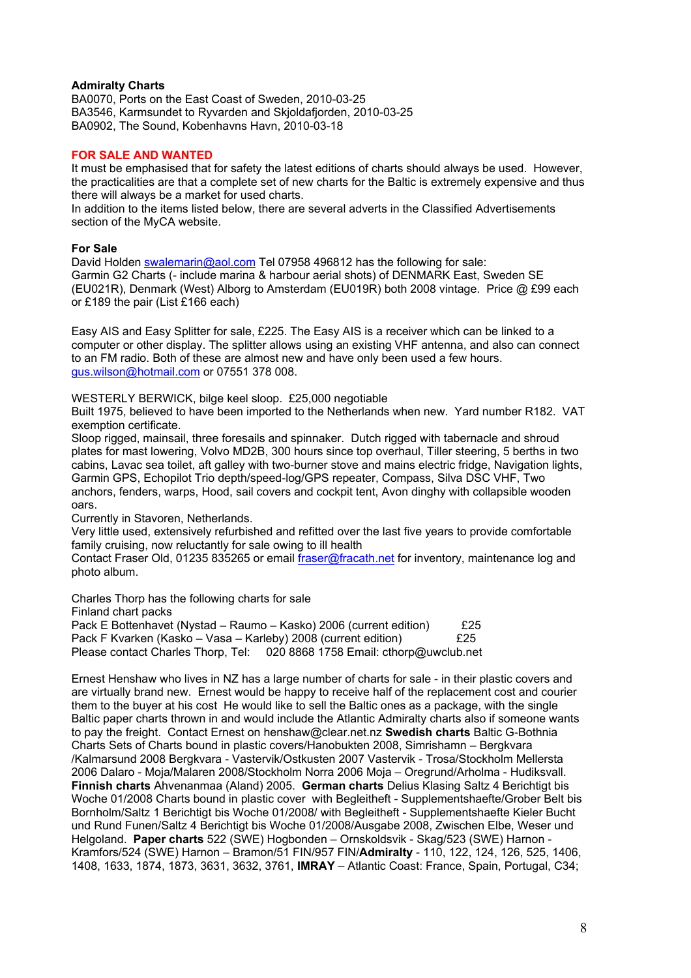## **Admiralty Charts**

BA0070, Ports on the East Coast of Sweden, 2010-03-25 BA3546, Karmsundet to Ryvarden and Skjoldafjorden, 2010-03-25 BA0902, The Sound, Kobenhavns Havn, 2010-03-18

### **FOR SALE AND WANTED**

It must be emphasised that for safety the latest editions of charts should always be used. However, the practicalities are that a complete set of new charts for the Baltic is extremely expensive and thus there will always be a market for used charts.

In addition to the items listed below, there are several adverts in the Classified Advertisements section of the MyCA website.

#### **For Sale**

David Holden swalemarin@aol.com Tel 07958 496812 has the following for sale: Garmin G2 Charts (- include marina & harbour aerial shots) of DENMARK East, Sweden SE (EU021R), Denmark (West) Alborg to Amsterdam (EU019R) both 2008 vintage. Price @ £99 each or £189 the pair (List £166 each)

Easy AIS and Easy Splitter for sale, £225. The Easy AIS is a receiver which can be linked to a computer or other display. The splitter allows using an existing VHF antenna, and also can connect to an FM radio. Both of these are almost new and have only been used a few hours. gus.wilson@hotmail.com or 07551 378 008.

WESTERLY BERWICK, bilge keel sloop. £25,000 negotiable

Built 1975, believed to have been imported to the Netherlands when new. Yard number R182. VAT exemption certificate.

Sloop rigged, mainsail, three foresails and spinnaker. Dutch rigged with tabernacle and shroud plates for mast lowering, Volvo MD2B, 300 hours since top overhaul, Tiller steering, 5 berths in two cabins, Lavac sea toilet, aft galley with two-burner stove and mains electric fridge, Navigation lights, Garmin GPS, Echopilot Trio depth/speed-log/GPS repeater, Compass, Silva DSC VHF, Two anchors, fenders, warps, Hood, sail covers and cockpit tent, Avon dinghy with collapsible wooden oars.

Currently in Stavoren, Netherlands.

Very little used, extensively refurbished and refitted over the last five years to provide comfortable family cruising, now reluctantly for sale owing to ill health

Contact Fraser Old, 01235 835265 or email fraser@fracath.net for inventory, maintenance log and photo album.

Charles Thorp has the following charts for sale

Finland chart packs

Pack E Bottenhavet (Nystad – Raumo – Kasko) 2006 (current edition) £25 Pack F Kvarken (Kasko – Vasa – Karleby) 2008 (current edition)  $\sqrt{25}$ Please contact Charles Thorp, Tel: 020 8868 1758 Email: cthorp@uwclub.net

Ernest Henshaw who lives in NZ has a large number of charts for sale - in their plastic covers and are virtually brand new. Ernest would be happy to receive half of the replacement cost and courier them to the buyer at his cost He would like to sell the Baltic ones as a package, with the single Baltic paper charts thrown in and would include the Atlantic Admiralty charts also if someone wants to pay the freight. Contact Ernest on henshaw@clear.net.nz **Swedish charts** Baltic G-Bothnia Charts Sets of Charts bound in plastic covers/Hanobukten 2008, Simrishamn – Bergkvara /Kalmarsund 2008 Bergkvara - Vastervik/Ostkusten 2007 Vastervik - Trosa/Stockholm Mellersta 2006 Dalaro - Moja/Malaren 2008/Stockholm Norra 2006 Moja – Oregrund/Arholma - Hudiksvall. **Finnish charts** Ahvenanmaa (Aland) 2005. **German charts** Delius Klasing Saltz 4 Berichtigt bis Woche 01/2008 Charts bound in plastic cover with Begleitheft - Supplementshaefte/Grober Belt bis Bornholm/Saltz 1 Berichtigt bis Woche 01/2008/ with Begleitheft - Supplementshaefte Kieler Bucht und Rund Funen/Saltz 4 Berichtigt bis Woche 01/2008/Ausgabe 2008, Zwischen Elbe, Weser und Helgoland. **Paper charts** 522 (SWE) Hogbonden – Ornskoldsvik - Skag/523 (SWE) Harnon - Kramfors/524 (SWE) Harnon – Bramon/51 FIN/957 FIN/**Admiralty** - 110, 122, 124, 126, 525, 1406, 1408, 1633, 1874, 1873, 3631, 3632, 3761, **IMRAY** – Atlantic Coast: France, Spain, Portugal, C34;